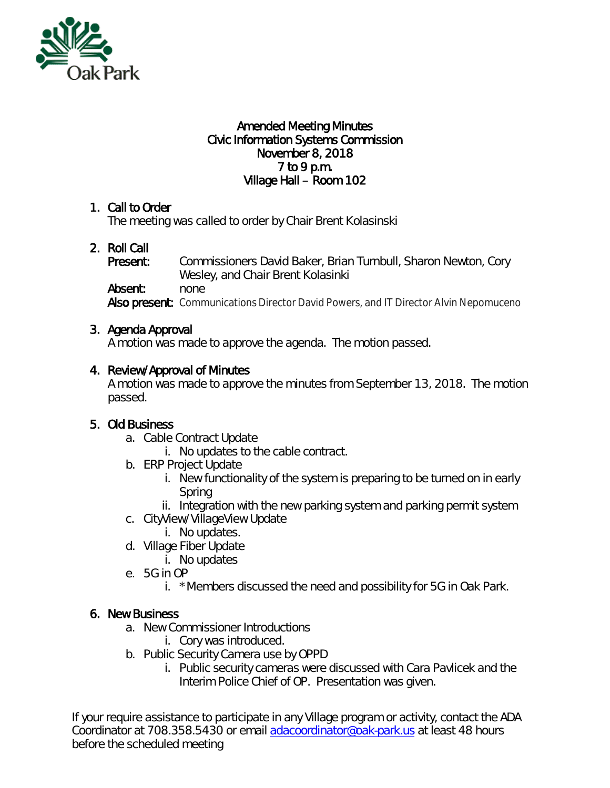

#### Amended Meeting Minutes Civic Information Systems Commission November 8, 2018 7 to 9 p.m. Village Hall – Room 102

### 1. Call to Order

The meeting was called to order by Chair Brent Kolasinski

# 2. Roll Call

Present: Commissioners David Baker, Brian Turnbull, Sharon Newton, Cory Wesley, and Chair Brent Kolasinki Absent: none Also present: Communications Director David Powers, and IT Director Alvin Nepomuceno

### 3. Agenda Approval

A motion was made to approve the agenda. The motion passed.

### 4. Review/Approval of Minutes

A motion was made to approve the minutes from September 13, 2018. The motion passed.

# 5. Old Business

- a. Cable Contract Update
	- i. No updates to the cable contract.
- b. ERP Project Update
	- i. New functionality of the system is preparing to be turned on in early Spring
	- ii. Integration with the new parking system and parking permit system
- c. CityView/VillageView Update
	- i. No updates.
- d. Village Fiber Update
	- i. No updates
- e. 5G in OP
	- i. \*Members discussed the need and possibility for 5G in Oak Park.

#### 6. New Business

- a. New Commissioner Introductions
	- i. Cory was introduced.
- b. Public Security Camera use by OPPD
	- i. Public security cameras were discussed with Cara Pavlicek and the Interim Police Chief of OP. Presentation was given.

If your require assistance to participate in any Village program or activity, contact the ADA Coordinator at 708.358.5430 or email [adacoordinator@oak-park.us](mailto:adacoordinator@oak-park.us) at least 48 hours before the scheduled meeting